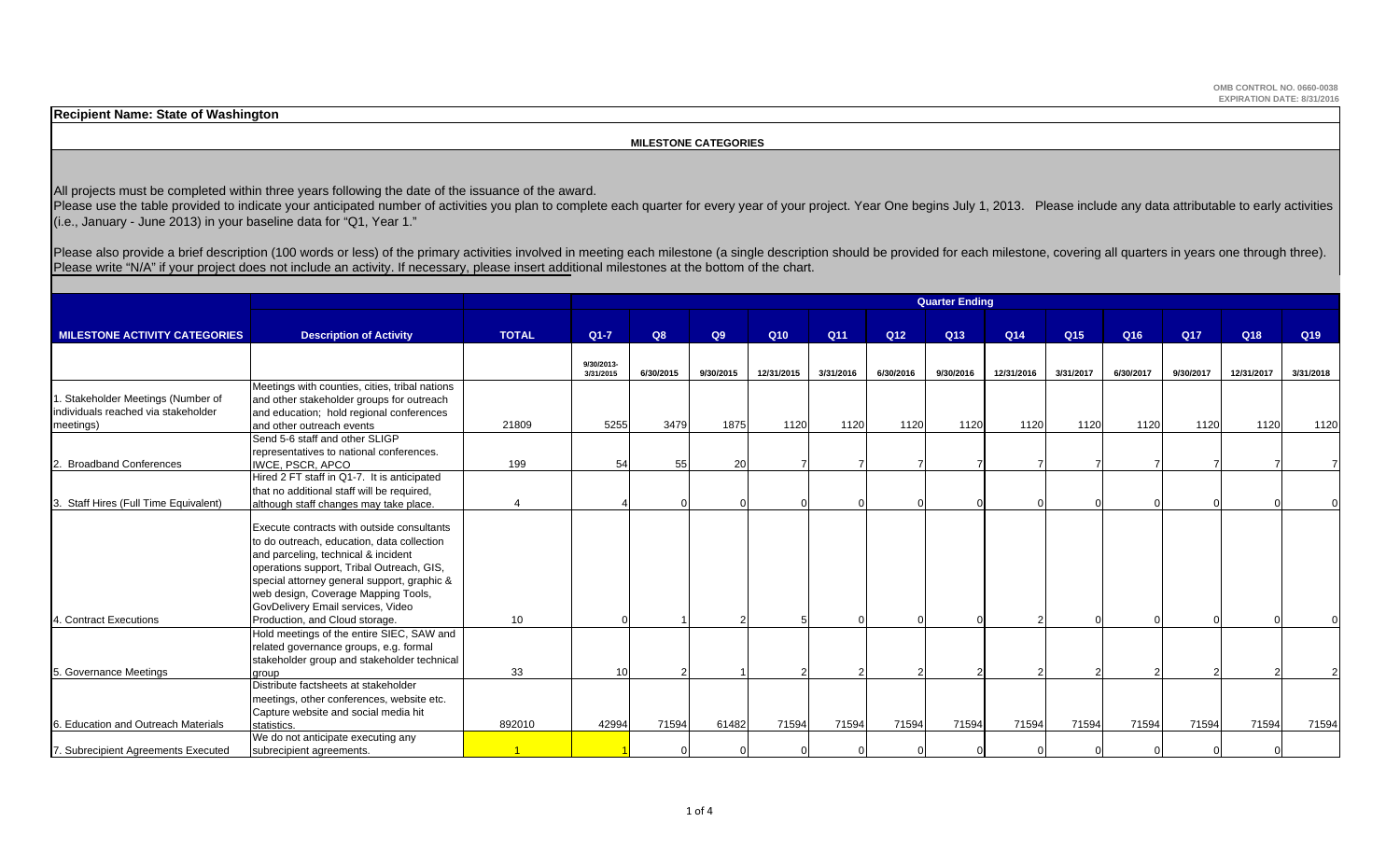**Recipient Name: State of Washington**

 **MILESTONE CATEGORIES**

All projects must be completed within three years following the date of the issuance of the award.

Please use the table provided to indicate your anticipated number of activities you plan to complete each quarter for every year of your project. Year One begins July 1, 2013. Please include any data attributable to early  $(i.e., January - June 2013)$  in your baseline data for "Q1, Year 1."

Please also provide a brief description (100 words or less) of the primary activities involved in meeting each milestone (a single description should be provided for each milestone, covering all quarters in years one throu Please write "N/A" if your project does not include an activity. If necessary, please insert additional milestones at the bottom of the chart.

|                                      |                                                |                       |                         |           |           |                 |           |                 | <b>Quarter Ending</b> |            |                 |                 |           |                 |           |
|--------------------------------------|------------------------------------------------|-----------------------|-------------------------|-----------|-----------|-----------------|-----------|-----------------|-----------------------|------------|-----------------|-----------------|-----------|-----------------|-----------|
|                                      |                                                |                       |                         |           |           |                 |           |                 |                       |            |                 |                 |           |                 |           |
| <b>MILESTONE ACTIVITY CATEGORIES</b> | <b>Description of Activity</b>                 | <b>TOTAL</b>          | $Q1-7$                  | Q8        | Q9        | Q <sub>10</sub> | Q11       | Q <sub>12</sub> | Q13                   | Q14        | Q <sub>15</sub> | Q <sub>16</sub> | Q17       | Q <sub>18</sub> | Q19       |
|                                      |                                                |                       |                         |           |           |                 |           |                 |                       |            |                 |                 |           |                 |           |
|                                      |                                                |                       | 9/30/2013-<br>3/31/2015 | 6/30/2015 | 9/30/2015 | 12/31/2015      | 3/31/2016 | 6/30/2016       | 9/30/2016             | 12/31/2016 | 3/31/2017       | 6/30/2017       | 9/30/2017 | 12/31/2017      | 3/31/2018 |
|                                      | Meetings with counties, cities, tribal nations |                       |                         |           |           |                 |           |                 |                       |            |                 |                 |           |                 |           |
| . Stakeholder Meetings (Number of    | and other stakeholder groups for outreach      |                       |                         |           |           |                 |           |                 |                       |            |                 |                 |           |                 |           |
| individuals reached via stakeholder  | and education; hold regional conferences       |                       |                         |           |           |                 |           |                 |                       |            |                 |                 |           |                 |           |
| meetings)                            | and other outreach events                      | 21809                 | 5255                    | 3479      | 1875      | 1120            | 1120      | 1120            | 1120                  | 1120       | 1120            | 1120            | 1120      | 1120            | 1120      |
|                                      | Send 5-6 staff and other SLIGP                 |                       |                         |           |           |                 |           |                 |                       |            |                 |                 |           |                 |           |
|                                      | representatives to national conferences.       |                       |                         |           |           |                 |           |                 |                       |            |                 |                 |           |                 |           |
| <b>Broadband Conferences</b>         | <b>IWCE, PSCR, APCO</b>                        | 199                   | 54                      | 55        | 20        |                 |           |                 |                       |            |                 |                 |           |                 |           |
|                                      | Hired 2 FT staff in Q1-7. It is anticipated    |                       |                         |           |           |                 |           |                 |                       |            |                 |                 |           |                 |           |
|                                      | that no additional staff will be required,     |                       |                         |           |           |                 |           |                 |                       |            |                 |                 |           |                 |           |
| Staff Hires (Full Time Equivalent)   | although staff changes may take place.         | $\boldsymbol{\Delta}$ |                         |           |           |                 |           |                 |                       |            |                 |                 |           |                 |           |
|                                      |                                                |                       |                         |           |           |                 |           |                 |                       |            |                 |                 |           |                 |           |
|                                      | Execute contracts with outside consultants     |                       |                         |           |           |                 |           |                 |                       |            |                 |                 |           |                 |           |
|                                      | to do outreach, education, data collection     |                       |                         |           |           |                 |           |                 |                       |            |                 |                 |           |                 |           |
|                                      | and parceling, technical & incident            |                       |                         |           |           |                 |           |                 |                       |            |                 |                 |           |                 |           |
|                                      | operations support, Tribal Outreach, GIS,      |                       |                         |           |           |                 |           |                 |                       |            |                 |                 |           |                 |           |
|                                      | special attorney general support, graphic &    |                       |                         |           |           |                 |           |                 |                       |            |                 |                 |           |                 |           |
|                                      | web design, Coverage Mapping Tools,            |                       |                         |           |           |                 |           |                 |                       |            |                 |                 |           |                 |           |
|                                      | GovDelivery Email services, Video              |                       |                         |           |           |                 |           |                 |                       |            |                 |                 |           |                 |           |
| 4. Contract Executions               | Production, and Cloud storage.                 | 10 <sup>°</sup>       |                         |           |           |                 |           |                 |                       |            |                 |                 |           |                 |           |
|                                      | Hold meetings of the entire SIEC, SAW and      |                       |                         |           |           |                 |           |                 |                       |            |                 |                 |           |                 |           |
|                                      | related governance groups, e.g. formal         |                       |                         |           |           |                 |           |                 |                       |            |                 |                 |           |                 |           |
|                                      | stakeholder group and stakeholder technical    |                       |                         |           |           |                 |           |                 |                       |            |                 |                 |           |                 |           |
| 5. Governance Meetings               | aroup                                          | 33                    | 10                      |           |           |                 |           |                 |                       |            |                 |                 |           |                 |           |
|                                      | Distribute factsheets at stakeholder           |                       |                         |           |           |                 |           |                 |                       |            |                 |                 |           |                 |           |
|                                      | meetings, other conferences, website etc.      |                       |                         |           |           |                 |           |                 |                       |            |                 |                 |           |                 |           |
|                                      | Capture website and social media hit           |                       |                         |           |           |                 |           |                 |                       |            |                 |                 |           |                 |           |
| 6. Education and Outreach Materials  | statistics.                                    | 892010                | 42994                   | 71594     | 61482     | 71594           | 71594     | 71594           | 71594                 | 71594      | 71594           | 71594           | 71594     | 71594           | 71594     |
|                                      | We do not anticipate executing any             |                       |                         |           |           |                 |           |                 |                       |            |                 |                 |           |                 |           |
| 7. Subrecipient Agreements Executed  | subrecipient agreements.                       |                       |                         |           |           |                 |           |                 |                       |            |                 |                 |           |                 |           |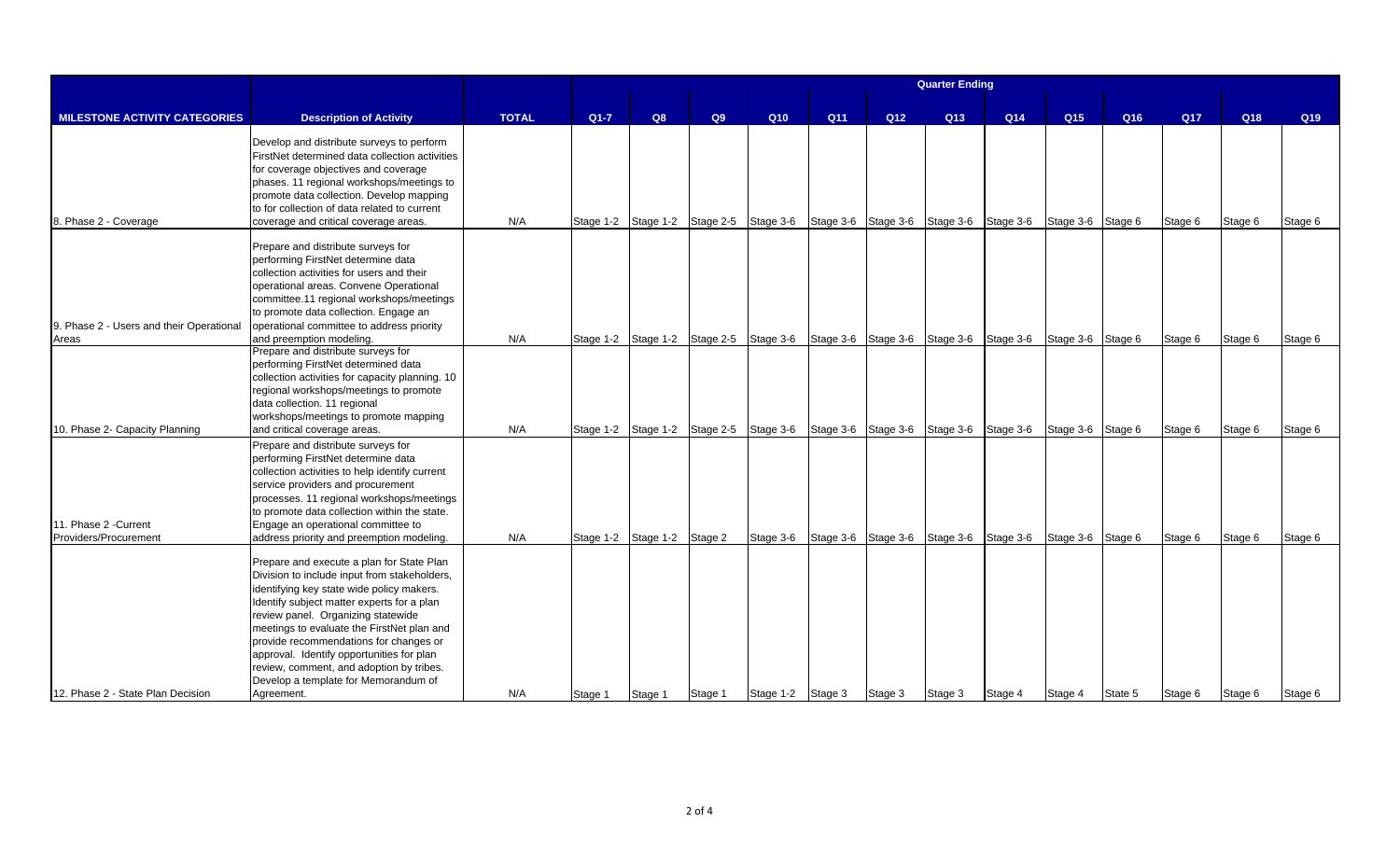|                                                |                                                                                                                                                                                                                                                                                                                                                                                                                                                                   |              |         |                             |                                                                                 |           |         |                                                   | <b>Quarter Ending</b> |         |                   |                 |         |         |                 |
|------------------------------------------------|-------------------------------------------------------------------------------------------------------------------------------------------------------------------------------------------------------------------------------------------------------------------------------------------------------------------------------------------------------------------------------------------------------------------------------------------------------------------|--------------|---------|-----------------------------|---------------------------------------------------------------------------------|-----------|---------|---------------------------------------------------|-----------------------|---------|-------------------|-----------------|---------|---------|-----------------|
|                                                |                                                                                                                                                                                                                                                                                                                                                                                                                                                                   |              |         |                             |                                                                                 |           |         |                                                   |                       |         |                   |                 |         |         |                 |
| <b>MILESTONE ACTIVITY CATEGORIES</b>           | <b>Description of Activity</b>                                                                                                                                                                                                                                                                                                                                                                                                                                    | <b>TOTAL</b> | $Q1-7$  | Q8                          | Q9                                                                              | Q10       | Q11     | Q12                                               | Q13                   | Q14     | Q <sub>15</sub>   | Q <sub>16</sub> | Q17     | Q18     | Q <sub>19</sub> |
| 8. Phase 2 - Coverage                          | Develop and distribute surveys to perform<br>FirstNet determined data collection activities<br>for coverage objectives and coverage<br>phases. 11 regional workshops/meetings to<br>promote data collection. Develop mapping<br>to for collection of data related to current<br>coverage and critical coverage areas.                                                                                                                                             | N/A          |         |                             | Stage 1-2 Stage 1-2 Stage 2-5 Stage 3-6 Stage 3-6 Stage 3-6 Stage 3-6 Stage 3-6 |           |         |                                                   |                       |         | Stage 3-6 Stage 6 |                 | Stage 6 | Stage 6 | Stage 6         |
| 9. Phase 2 - Users and their Operational       | Prepare and distribute surveys for<br>performing FirstNet determine data<br>collection activities for users and their<br>operational areas. Convene Operational<br>committee.11 regional workshops/meetings<br>to promote data collection. Engage an<br>operational committee to address priority                                                                                                                                                                 |              |         |                             |                                                                                 |           |         |                                                   |                       |         |                   |                 |         |         |                 |
| Areas                                          | and preemption modeling.                                                                                                                                                                                                                                                                                                                                                                                                                                          | N/A          |         |                             | Stage 1-2 Stage 1-2 Stage 2-5 Stage 3-6 Stage 3-6 Stage 3-6 Stage 3-6 Stage 3-6 |           |         |                                                   |                       |         | Stage 3-6 Stage 6 |                 | Stage 6 | Stage 6 | Stage 6         |
| 10. Phase 2- Capacity Planning                 | Prepare and distribute surveys for<br>performing FirstNet determined data<br>collection activities for capacity planning. 10<br>regional workshops/meetings to promote<br>data collection. 11 regional<br>workshops/meetings to promote mapping<br>and critical coverage areas.                                                                                                                                                                                   | N/A          |         |                             | Stage 1-2 Stage 1-2 Stage 2-5 Stage 3-6                                         |           |         | Stage 3-6 Stage 3-6 Stage 3-6 Stage 3-6           |                       |         | Stage 3-6         | Stage 6         | Stage 6 | Stage 6 | Stage 6         |
| 11. Phase 2 - Current<br>Providers/Procurement | Prepare and distribute surveys for<br>performing FirstNet determine data<br>collection activities to help identify current<br>service providers and procurement<br>processes. 11 regional workshops/meetings<br>to promote data collection within the state.<br>Engage an operational committee to<br>address priority and preemption modeling.                                                                                                                   | N/A          |         | Stage 1-2 Stage 1-2 Stage 2 |                                                                                 |           |         | Stage 3-6 Stage 3-6 Stage 3-6 Stage 3-6 Stage 3-6 |                       |         | Stage 3-6 Stage 6 |                 | Stage 6 | Stage 6 | Stage 6         |
| 12. Phase 2 - State Plan Decision              | Prepare and execute a plan for State Plan<br>Division to include input from stakeholders,<br>identifying key state wide policy makers.<br>Identify subject matter experts for a plan<br>review panel. Organizing statewide<br>meetings to evaluate the FirstNet plan and<br>provide recommendations for changes or<br>approval. Identify opportunities for plan<br>review, comment, and adoption by tribes.<br>Develop a template for Memorandum of<br>Agreement. | N/A          | Stage 1 | Stage 1                     | Stage 1                                                                         | Stage 1-2 | Stage 3 | Stage 3                                           | Stage 3               | Stage 4 | Stage 4           | State 5         | Stage 6 | Stage 6 | Stage 6         |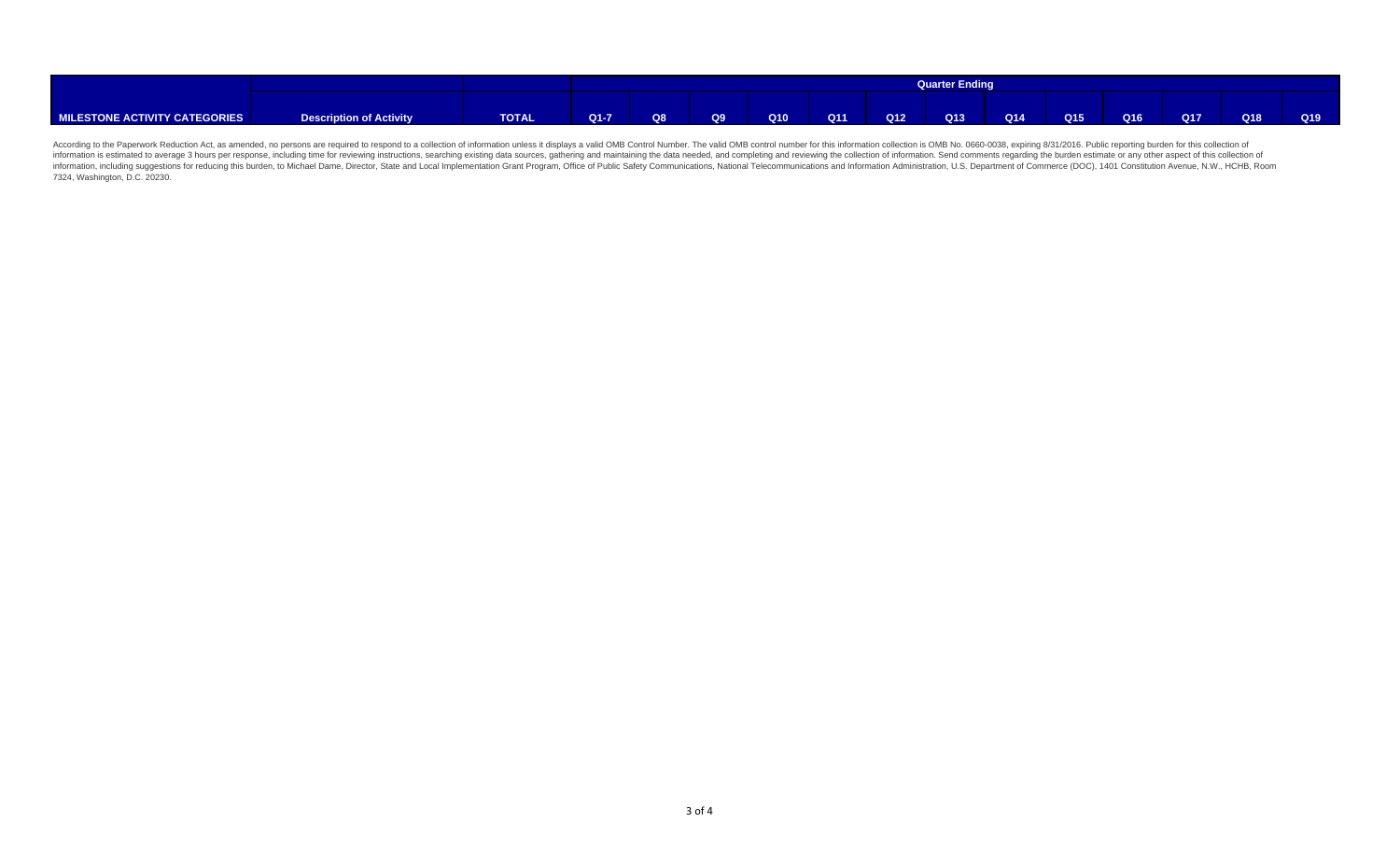|                               |                         |              |        |    |    |     |                 |     | <b>Quarter Ending</b> |     |     |     |            |     |     |
|-------------------------------|-------------------------|--------------|--------|----|----|-----|-----------------|-----|-----------------------|-----|-----|-----|------------|-----|-----|
|                               |                         |              |        |    |    |     |                 |     |                       |     |     |     |            |     |     |
| MILESTONE ACTIVITY CATEGORIES | Description of Activity | <b>TOTAL</b> | $Q1-7$ | Q8 | Q9 | Q10 | Q <sub>11</sub> | Q12 | Q13                   | Q14 | Q15 | Q16 | <b>Q17</b> | Q18 | Q19 |

According to the Paperwork Reduction Act, as amended, no persons are required to respond to a collection of information unless it displays a valid OMB Control Number. The valid OMB control number for this information colle information, including suggestions for reducing this burden, to Michael Dame, Director, State and Local Implementation Grant Program, Office of Public Safety Communications, National Telecommunications and Information Admi 7324, Washington, D.C. 20230.